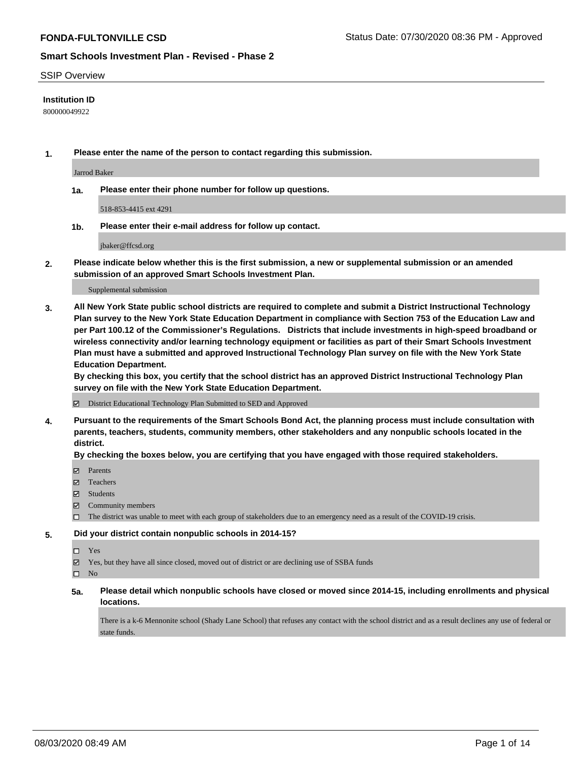### SSIP Overview

### **Institution ID**

800000049922

**1. Please enter the name of the person to contact regarding this submission.**

Jarrod Baker

**1a. Please enter their phone number for follow up questions.**

518-853-4415 ext 4291

**1b. Please enter their e-mail address for follow up contact.**

jbaker@ffcsd.org

**2. Please indicate below whether this is the first submission, a new or supplemental submission or an amended submission of an approved Smart Schools Investment Plan.**

#### Supplemental submission

**3. All New York State public school districts are required to complete and submit a District Instructional Technology Plan survey to the New York State Education Department in compliance with Section 753 of the Education Law and per Part 100.12 of the Commissioner's Regulations. Districts that include investments in high-speed broadband or wireless connectivity and/or learning technology equipment or facilities as part of their Smart Schools Investment Plan must have a submitted and approved Instructional Technology Plan survey on file with the New York State Education Department.** 

**By checking this box, you certify that the school district has an approved District Instructional Technology Plan survey on file with the New York State Education Department.**

District Educational Technology Plan Submitted to SED and Approved

**4. Pursuant to the requirements of the Smart Schools Bond Act, the planning process must include consultation with parents, teachers, students, community members, other stakeholders and any nonpublic schools located in the district.** 

#### **By checking the boxes below, you are certifying that you have engaged with those required stakeholders.**

- **Parents**
- Teachers
- Students
- $\boxtimes$  Community members
- The district was unable to meet with each group of stakeholders due to an emergency need as a result of the COVID-19 crisis.

#### **5. Did your district contain nonpublic schools in 2014-15?**

- $\neg$  Yes
- Yes, but they have all since closed, moved out of district or are declining use of SSBA funds

 $\square$  No

**5a. Please detail which nonpublic schools have closed or moved since 2014-15, including enrollments and physical locations.**

There is a k-6 Mennonite school (Shady Lane School) that refuses any contact with the school district and as a result declines any use of federal or state funds.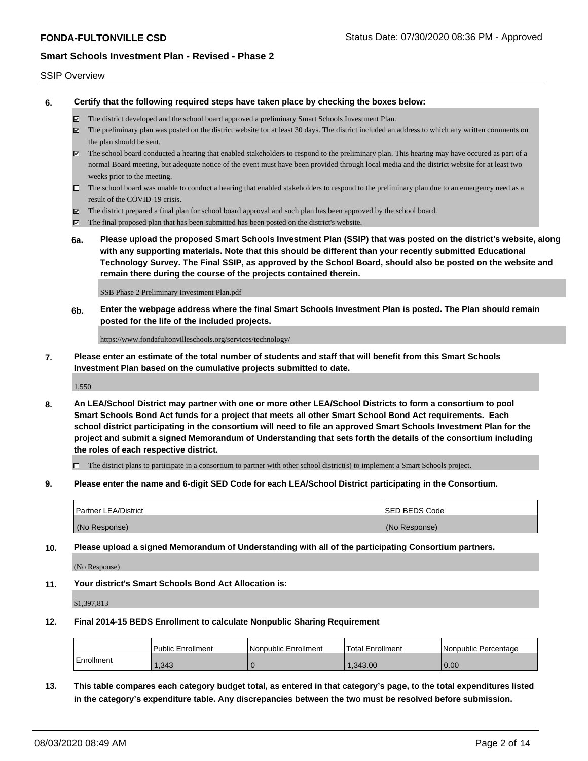### SSIP Overview

**6. Certify that the following required steps have taken place by checking the boxes below:**

- The district developed and the school board approved a preliminary Smart Schools Investment Plan.
- The preliminary plan was posted on the district website for at least 30 days. The district included an address to which any written comments on the plan should be sent.
- The school board conducted a hearing that enabled stakeholders to respond to the preliminary plan. This hearing may have occured as part of a normal Board meeting, but adequate notice of the event must have been provided through local media and the district website for at least two weeks prior to the meeting.
- $\Box$  The school board was unable to conduct a hearing that enabled stakeholders to respond to the preliminary plan due to an emergency need as a result of the COVID-19 crisis.
- The district prepared a final plan for school board approval and such plan has been approved by the school board.
- $\boxtimes$  The final proposed plan that has been submitted has been posted on the district's website.
- **6a. Please upload the proposed Smart Schools Investment Plan (SSIP) that was posted on the district's website, along with any supporting materials. Note that this should be different than your recently submitted Educational Technology Survey. The Final SSIP, as approved by the School Board, should also be posted on the website and remain there during the course of the projects contained therein.**

SSB Phase 2 Preliminary Investment Plan.pdf

**6b. Enter the webpage address where the final Smart Schools Investment Plan is posted. The Plan should remain posted for the life of the included projects.**

https://www.fondafultonvilleschools.org/services/technology/

**7. Please enter an estimate of the total number of students and staff that will benefit from this Smart Schools Investment Plan based on the cumulative projects submitted to date.**

1,550

**8. An LEA/School District may partner with one or more other LEA/School Districts to form a consortium to pool Smart Schools Bond Act funds for a project that meets all other Smart School Bond Act requirements. Each school district participating in the consortium will need to file an approved Smart Schools Investment Plan for the project and submit a signed Memorandum of Understanding that sets forth the details of the consortium including the roles of each respective district.**

 $\Box$  The district plans to participate in a consortium to partner with other school district(s) to implement a Smart Schools project.

**9. Please enter the name and 6-digit SED Code for each LEA/School District participating in the Consortium.**

| Partner LEA/District | <b>ISED BEDS Code</b> |
|----------------------|-----------------------|
| (No Response)        | (No Response)         |

**10. Please upload a signed Memorandum of Understanding with all of the participating Consortium partners.**

(No Response)

**11. Your district's Smart Schools Bond Act Allocation is:**

\$1,397,813

#### **12. Final 2014-15 BEDS Enrollment to calculate Nonpublic Sharing Requirement**

|                   | <b>Public Enrollment</b> | l Nonpublic Enrollment | <b>Total Enrollment</b> | l Nonpublic Percentage |
|-------------------|--------------------------|------------------------|-------------------------|------------------------|
| <b>Enrollment</b> | .343                     |                        | 1.343.00                | 0.00                   |

**13. This table compares each category budget total, as entered in that category's page, to the total expenditures listed in the category's expenditure table. Any discrepancies between the two must be resolved before submission.**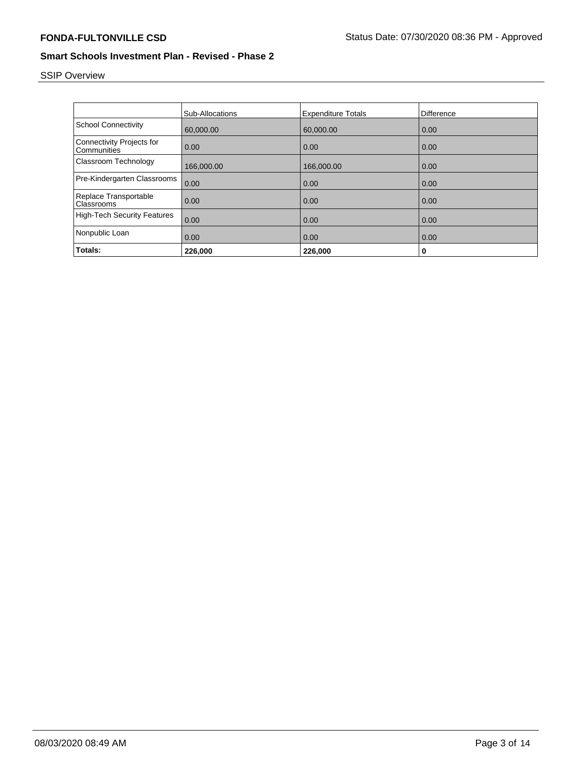# SSIP Overview

|                                          | <b>Sub-Allocations</b> | <b>Expenditure Totals</b> | <b>Difference</b> |
|------------------------------------------|------------------------|---------------------------|-------------------|
| <b>School Connectivity</b>               | 60,000.00              | 60,000.00                 | 0.00              |
| Connectivity Projects for<br>Communities | 0.00                   | 0.00                      | 0.00              |
| Classroom Technology                     | 166,000.00             | 166,000.00                | 0.00              |
| Pre-Kindergarten Classrooms              | 0.00                   | 0.00                      | 0.00              |
| Replace Transportable<br>Classrooms      | 0.00                   | 0.00                      | 0.00              |
| <b>High-Tech Security Features</b>       | 0.00                   | 0.00                      | 0.00              |
| Nonpublic Loan                           | 0.00                   | 0.00                      | 0.00              |
| Totals:                                  | 226,000                | 226,000                   | 0                 |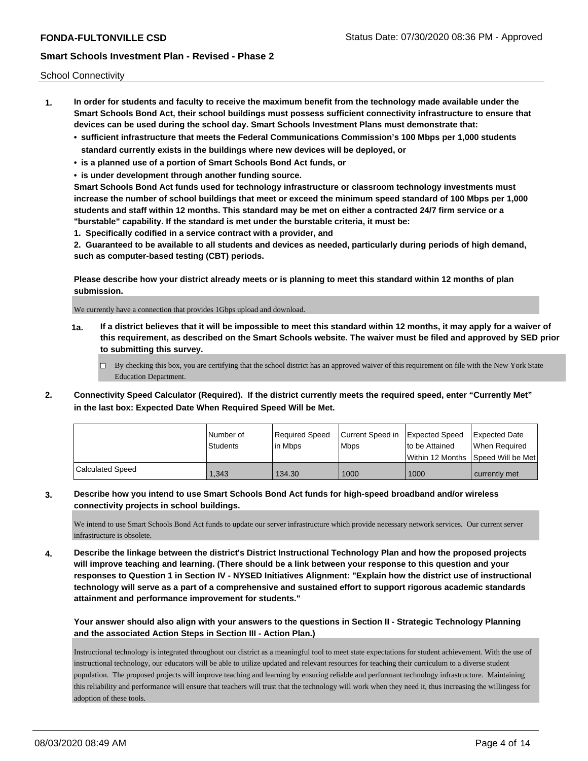School Connectivity

- **1. In order for students and faculty to receive the maximum benefit from the technology made available under the Smart Schools Bond Act, their school buildings must possess sufficient connectivity infrastructure to ensure that devices can be used during the school day. Smart Schools Investment Plans must demonstrate that:**
	- **• sufficient infrastructure that meets the Federal Communications Commission's 100 Mbps per 1,000 students standard currently exists in the buildings where new devices will be deployed, or**
	- **• is a planned use of a portion of Smart Schools Bond Act funds, or**
	- **• is under development through another funding source.**

**Smart Schools Bond Act funds used for technology infrastructure or classroom technology investments must increase the number of school buildings that meet or exceed the minimum speed standard of 100 Mbps per 1,000 students and staff within 12 months. This standard may be met on either a contracted 24/7 firm service or a "burstable" capability. If the standard is met under the burstable criteria, it must be:**

**1. Specifically codified in a service contract with a provider, and**

**2. Guaranteed to be available to all students and devices as needed, particularly during periods of high demand, such as computer-based testing (CBT) periods.**

**Please describe how your district already meets or is planning to meet this standard within 12 months of plan submission.**

We currently have a connection that provides 1Gbps upload and download.

**1a. If a district believes that it will be impossible to meet this standard within 12 months, it may apply for a waiver of this requirement, as described on the Smart Schools website. The waiver must be filed and approved by SED prior to submitting this survey.**

 $\Box$  By checking this box, you are certifying that the school district has an approved waiver of this requirement on file with the New York State Education Department.

**2. Connectivity Speed Calculator (Required). If the district currently meets the required speed, enter "Currently Met" in the last box: Expected Date When Required Speed Will be Met.**

|                  | l Number of     | Required Speed | Current Speed in Expected Speed |                | <b>Expected Date</b>                 |
|------------------|-----------------|----------------|---------------------------------|----------------|--------------------------------------|
|                  | <b>Students</b> | l in Mbps      | <b>Mbps</b>                     | to be Attained | When Required                        |
|                  |                 |                |                                 |                | Within 12 Months   Speed Will be Met |
| Calculated Speed | 1.343           | 134.30         | 1000                            | 1000           | currently met                        |

### **3. Describe how you intend to use Smart Schools Bond Act funds for high-speed broadband and/or wireless connectivity projects in school buildings.**

We intend to use Smart Schools Bond Act funds to update our server infrastructure which provide necessary network services. Our current server infrastructure is obsolete.

**4. Describe the linkage between the district's District Instructional Technology Plan and how the proposed projects will improve teaching and learning. (There should be a link between your response to this question and your responses to Question 1 in Section IV - NYSED Initiatives Alignment: "Explain how the district use of instructional technology will serve as a part of a comprehensive and sustained effort to support rigorous academic standards attainment and performance improvement for students."** 

**Your answer should also align with your answers to the questions in Section II - Strategic Technology Planning and the associated Action Steps in Section III - Action Plan.)**

Instructional technology is integrated throughout our district as a meaningful tool to meet state expectations for student achievement. With the use of instructional technology, our educators will be able to utilize updated and relevant resources for teaching their curriculum to a diverse student population. The proposed projects will improve teaching and learning by ensuring reliable and performant technology infrastructure. Maintaining this reliability and performance will ensure that teachers will trust that the technology will work when they need it, thus increasing the willingess for adoption of these tools.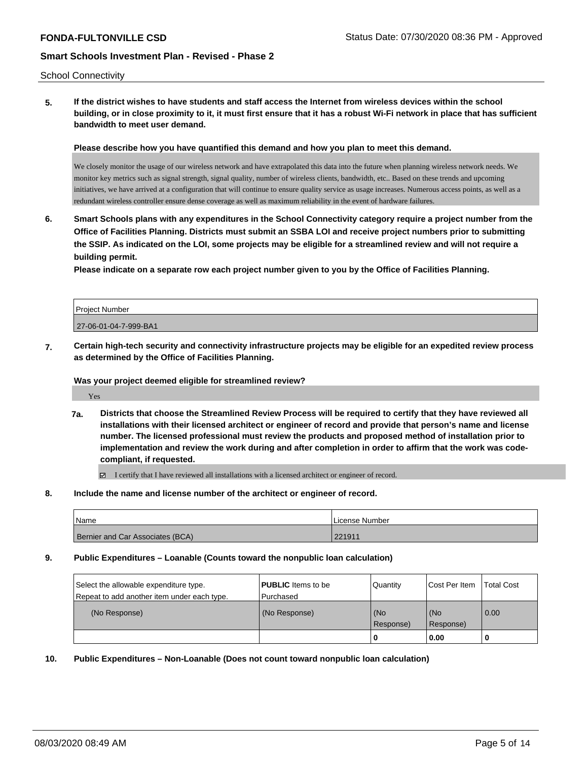### School Connectivity

**5. If the district wishes to have students and staff access the Internet from wireless devices within the school building, or in close proximity to it, it must first ensure that it has a robust Wi-Fi network in place that has sufficient bandwidth to meet user demand.**

**Please describe how you have quantified this demand and how you plan to meet this demand.**

We closely monitor the usage of our wireless network and have extrapolated this data into the future when planning wireless network needs. We monitor key metrics such as signal strength, signal quality, number of wireless clients, bandwidth, etc.. Based on these trends and upcoming initiatives, we have arrived at a configuration that will continue to ensure quality service as usage increases. Numerous access points, as well as a redundant wireless controller ensure dense coverage as well as maximum reliability in the event of hardware failures.

**6. Smart Schools plans with any expenditures in the School Connectivity category require a project number from the Office of Facilities Planning. Districts must submit an SSBA LOI and receive project numbers prior to submitting the SSIP. As indicated on the LOI, some projects may be eligible for a streamlined review and will not require a building permit.**

**Please indicate on a separate row each project number given to you by the Office of Facilities Planning.**

| <b>Project Number</b> |  |
|-----------------------|--|
| 27-06-01-04-7-999-BA1 |  |

**7. Certain high-tech security and connectivity infrastructure projects may be eligible for an expedited review process as determined by the Office of Facilities Planning.**

### **Was your project deemed eligible for streamlined review?**

Yes

**7a. Districts that choose the Streamlined Review Process will be required to certify that they have reviewed all installations with their licensed architect or engineer of record and provide that person's name and license number. The licensed professional must review the products and proposed method of installation prior to implementation and review the work during and after completion in order to affirm that the work was codecompliant, if requested.**

I certify that I have reviewed all installations with a licensed architect or engineer of record.

**8. Include the name and license number of the architect or engineer of record.**

| <b>Name</b>                      | l License Number |
|----------------------------------|------------------|
| Bernier and Car Associates (BCA) | 221911           |

**9. Public Expenditures – Loanable (Counts toward the nonpublic loan calculation)**

| Select the allowable expenditure type.      | <b>PUBLIC</b> Items to be | Quantity         | Cost Per Item    | <b>Total Cost</b> |
|---------------------------------------------|---------------------------|------------------|------------------|-------------------|
| Repeat to add another item under each type. | Purchased                 |                  |                  |                   |
| (No Response)                               | (No Response)             | (No<br>Response) | (No<br>Response) | $\overline{0.00}$ |
|                                             |                           | 0                | 0.00             |                   |

**10. Public Expenditures – Non-Loanable (Does not count toward nonpublic loan calculation)**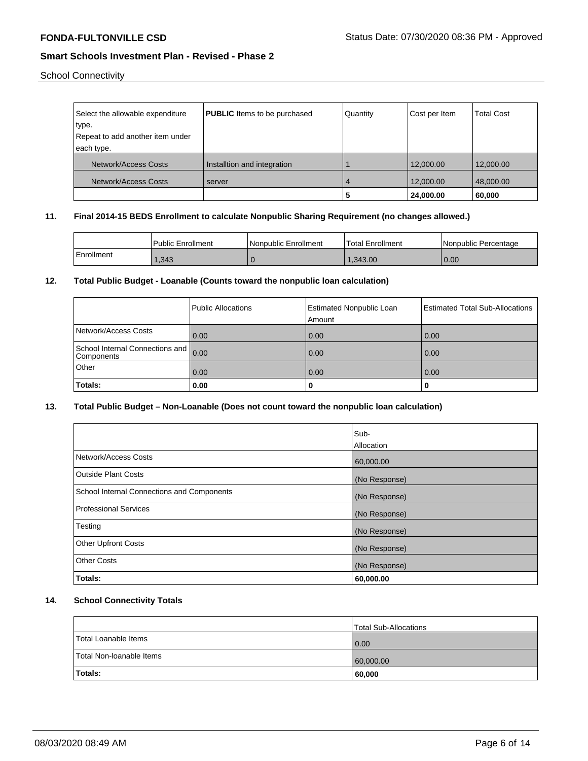School Connectivity

| Select the allowable expenditure | <b>PUBLIC</b> Items to be purchased | Quantity | Cost per Item | <b>Total Cost</b> |
|----------------------------------|-------------------------------------|----------|---------------|-------------------|
| type.                            |                                     |          |               |                   |
| Repeat to add another item under |                                     |          |               |                   |
| each type.                       |                                     |          |               |                   |
| Network/Access Costs             | Installtion and integration         |          | 12,000.00     | 12,000.00         |
|                                  |                                     |          |               |                   |
| Network/Access Costs             | server                              | 4        | 12,000.00     | 48,000.00         |
|                                  |                                     | 5        | 24,000.00     | 60,000            |

# **11. Final 2014-15 BEDS Enrollment to calculate Nonpublic Sharing Requirement (no changes allowed.)**

|            | Public Enrollment | l Nonpublic Enrollment | Total Enrollment | l Nonpublic Percentage |
|------------|-------------------|------------------------|------------------|------------------------|
| Enrollment | .343              |                        | .343.00          | 0.00                   |

### **12. Total Public Budget - Loanable (Counts toward the nonpublic loan calculation)**

|                                                    | Public Allocations | <b>Estimated Nonpublic Loan</b><br>Amount | <b>Estimated Total Sub-Allocations</b> |
|----------------------------------------------------|--------------------|-------------------------------------------|----------------------------------------|
| Network/Access Costs                               | 0.00               | 0.00                                      | 0.00                                   |
| School Internal Connections and 0.00<br>Components |                    | 0.00                                      | 0.00                                   |
| Other                                              | 0.00               | 0.00                                      | 0.00                                   |
| Totals:                                            | 0.00               | 0                                         | υ                                      |

# **13. Total Public Budget – Non-Loanable (Does not count toward the nonpublic loan calculation)**

|                                                   | Sub-          |
|---------------------------------------------------|---------------|
|                                                   | Allocation    |
| Network/Access Costs                              | 60,000.00     |
| Outside Plant Costs                               | (No Response) |
| <b>School Internal Connections and Components</b> | (No Response) |
| <b>Professional Services</b>                      | (No Response) |
| Testing                                           | (No Response) |
| <b>Other Upfront Costs</b>                        | (No Response) |
| <b>Other Costs</b>                                | (No Response) |
| Totals:                                           | 60,000.00     |

# **14. School Connectivity Totals**

|                          | Total Sub-Allocations |
|--------------------------|-----------------------|
| Total Loanable Items     | 0.00                  |
| Total Non-Ioanable Items | 60,000.00             |
| Totals:                  | 60,000                |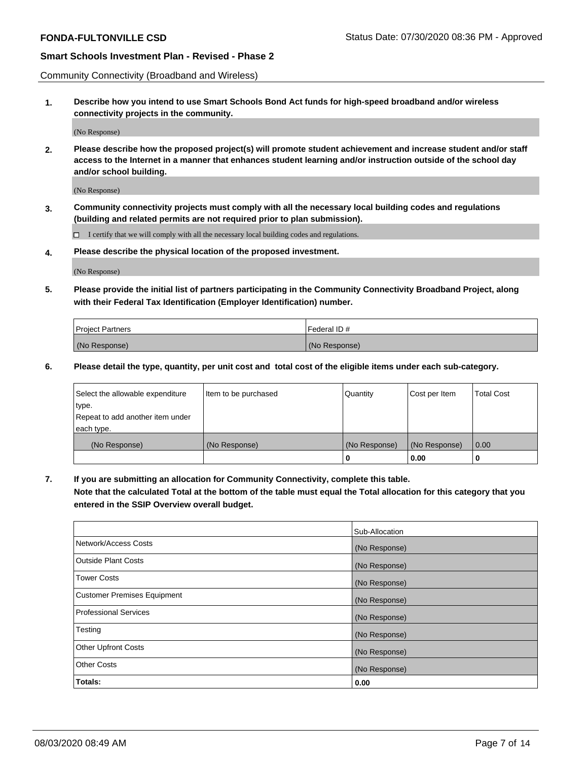Community Connectivity (Broadband and Wireless)

**1. Describe how you intend to use Smart Schools Bond Act funds for high-speed broadband and/or wireless connectivity projects in the community.**

(No Response)

**2. Please describe how the proposed project(s) will promote student achievement and increase student and/or staff access to the Internet in a manner that enhances student learning and/or instruction outside of the school day and/or school building.**

(No Response)

**3. Community connectivity projects must comply with all the necessary local building codes and regulations (building and related permits are not required prior to plan submission).**

 $\Box$  I certify that we will comply with all the necessary local building codes and regulations.

**4. Please describe the physical location of the proposed investment.**

(No Response)

**5. Please provide the initial list of partners participating in the Community Connectivity Broadband Project, along with their Federal Tax Identification (Employer Identification) number.**

| <b>Project Partners</b> | l Federal ID # |
|-------------------------|----------------|
| (No Response)           | (No Response)  |

**6. Please detail the type, quantity, per unit cost and total cost of the eligible items under each sub-category.**

| Select the allowable expenditure | Item to be purchased | Quantity      | Cost per Item | <b>Total Cost</b> |
|----------------------------------|----------------------|---------------|---------------|-------------------|
| type.                            |                      |               |               |                   |
| Repeat to add another item under |                      |               |               |                   |
| each type.                       |                      |               |               |                   |
| (No Response)                    | (No Response)        | (No Response) | (No Response) | 0.00              |
|                                  |                      | o             | 0.00          |                   |

**7. If you are submitting an allocation for Community Connectivity, complete this table.**

**Note that the calculated Total at the bottom of the table must equal the Total allocation for this category that you entered in the SSIP Overview overall budget.**

|                                    | Sub-Allocation |
|------------------------------------|----------------|
| Network/Access Costs               | (No Response)  |
| Outside Plant Costs                | (No Response)  |
| <b>Tower Costs</b>                 | (No Response)  |
| <b>Customer Premises Equipment</b> | (No Response)  |
| <b>Professional Services</b>       | (No Response)  |
| Testing                            | (No Response)  |
| <b>Other Upfront Costs</b>         | (No Response)  |
| <b>Other Costs</b>                 | (No Response)  |
| Totals:                            | 0.00           |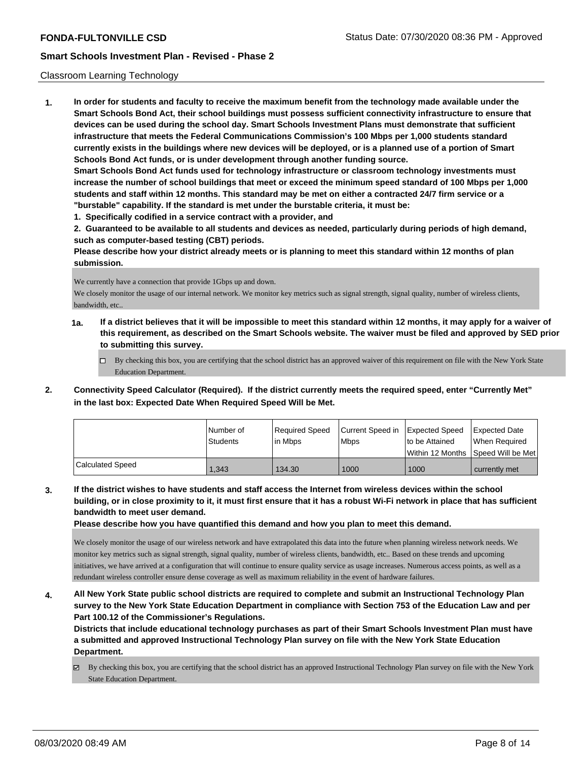### Classroom Learning Technology

**1. In order for students and faculty to receive the maximum benefit from the technology made available under the Smart Schools Bond Act, their school buildings must possess sufficient connectivity infrastructure to ensure that devices can be used during the school day. Smart Schools Investment Plans must demonstrate that sufficient infrastructure that meets the Federal Communications Commission's 100 Mbps per 1,000 students standard currently exists in the buildings where new devices will be deployed, or is a planned use of a portion of Smart Schools Bond Act funds, or is under development through another funding source. Smart Schools Bond Act funds used for technology infrastructure or classroom technology investments must increase the number of school buildings that meet or exceed the minimum speed standard of 100 Mbps per 1,000 students and staff within 12 months. This standard may be met on either a contracted 24/7 firm service or a**

- **"burstable" capability. If the standard is met under the burstable criteria, it must be:**
- **1. Specifically codified in a service contract with a provider, and**

**2. Guaranteed to be available to all students and devices as needed, particularly during periods of high demand, such as computer-based testing (CBT) periods.**

**Please describe how your district already meets or is planning to meet this standard within 12 months of plan submission.**

We currently have a connection that provide 1Gbps up and down.

We closely monitor the usage of our internal network. We monitor key metrics such as signal strength, signal quality, number of wireless clients, bandwidth, etc..

- **1a. If a district believes that it will be impossible to meet this standard within 12 months, it may apply for a waiver of this requirement, as described on the Smart Schools website. The waiver must be filed and approved by SED prior to submitting this survey.**
	- $\Box$  By checking this box, you are certifying that the school district has an approved waiver of this requirement on file with the New York State Education Department.
- **2. Connectivity Speed Calculator (Required). If the district currently meets the required speed, enter "Currently Met" in the last box: Expected Date When Required Speed Will be Met.**

|                  | Number of<br><b>Students</b> | Required Speed<br>lin Mbps | Current Speed in Expected Speed<br><b>Mbps</b> | to be Attained | <b>Expected Date</b><br>When Required |
|------------------|------------------------------|----------------------------|------------------------------------------------|----------------|---------------------------------------|
|                  |                              |                            |                                                |                | Within 12 Months 1Speed Will be Met   |
| Calculated Speed | 1.343                        | 134.30                     | 1000                                           | 1000           | currently met                         |

**3. If the district wishes to have students and staff access the Internet from wireless devices within the school building, or in close proximity to it, it must first ensure that it has a robust Wi-Fi network in place that has sufficient bandwidth to meet user demand.**

**Please describe how you have quantified this demand and how you plan to meet this demand.**

We closely monitor the usage of our wireless network and have extrapolated this data into the future when planning wireless network needs. We monitor key metrics such as signal strength, signal quality, number of wireless clients, bandwidth, etc.. Based on these trends and upcoming initiatives, we have arrived at a configuration that will continue to ensure quality service as usage increases. Numerous access points, as well as a redundant wireless controller ensure dense coverage as well as maximum reliability in the event of hardware failures.

**4. All New York State public school districts are required to complete and submit an Instructional Technology Plan survey to the New York State Education Department in compliance with Section 753 of the Education Law and per Part 100.12 of the Commissioner's Regulations.**

**Districts that include educational technology purchases as part of their Smart Schools Investment Plan must have a submitted and approved Instructional Technology Plan survey on file with the New York State Education Department.**

 $\boxtimes$  By checking this box, you are certifying that the school district has an approved Instructional Technology Plan survey on file with the New York State Education Department.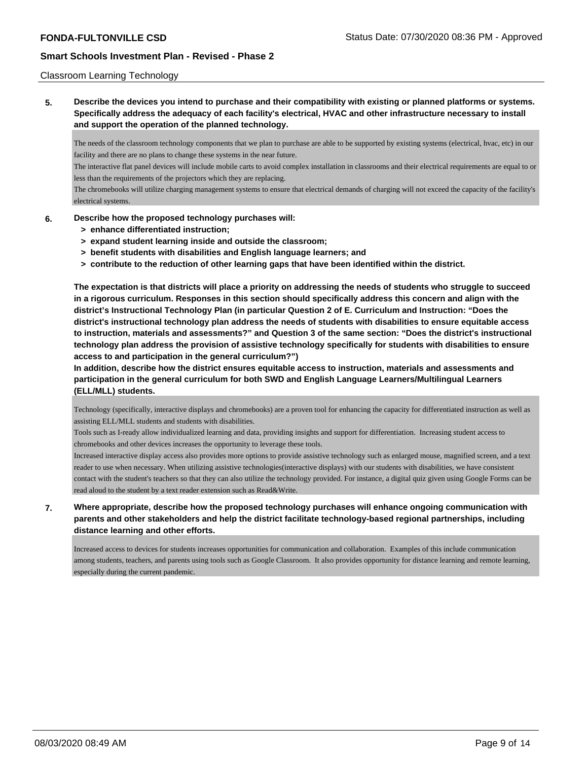### Classroom Learning Technology

**5. Describe the devices you intend to purchase and their compatibility with existing or planned platforms or systems. Specifically address the adequacy of each facility's electrical, HVAC and other infrastructure necessary to install and support the operation of the planned technology.**

The needs of the classroom technology components that we plan to purchase are able to be supported by existing systems (electrical, hvac, etc) in our facility and there are no plans to change these systems in the near future.

The interactive flat panel devices will include mobile carts to avoid complex installation in classrooms and their electrical requirements are equal to or less than the requirements of the projectors which they are replacing.

The chromebooks will utilize charging management systems to ensure that electrical demands of charging will not exceed the capacity of the facility's electrical systems.

### **6. Describe how the proposed technology purchases will:**

- **> enhance differentiated instruction;**
- **> expand student learning inside and outside the classroom;**
- **> benefit students with disabilities and English language learners; and**
- **> contribute to the reduction of other learning gaps that have been identified within the district.**

**The expectation is that districts will place a priority on addressing the needs of students who struggle to succeed in a rigorous curriculum. Responses in this section should specifically address this concern and align with the district's Instructional Technology Plan (in particular Question 2 of E. Curriculum and Instruction: "Does the district's instructional technology plan address the needs of students with disabilities to ensure equitable access to instruction, materials and assessments?" and Question 3 of the same section: "Does the district's instructional technology plan address the provision of assistive technology specifically for students with disabilities to ensure access to and participation in the general curriculum?")**

**In addition, describe how the district ensures equitable access to instruction, materials and assessments and participation in the general curriculum for both SWD and English Language Learners/Multilingual Learners (ELL/MLL) students.**

Technology (specifically, interactive displays and chromebooks) are a proven tool for enhancing the capacity for differentiated instruction as well as assisting ELL/MLL students and students with disabilities.

Tools such as I-ready allow individualized learning and data, providing insights and support for differentiation. Increasing student access to chromebooks and other devices increases the opportunity to leverage these tools.

Increased interactive display access also provides more options to provide assistive technology such as enlarged mouse, magnified screen, and a text reader to use when necessary. When utilizing assistive technologies(interactive displays) with our students with disabilities, we have consistent contact with the student's teachers so that they can also utilize the technology provided. For instance, a digital quiz given using Google Forms can be read aloud to the student by a text reader extension such as Read&Write.

**7. Where appropriate, describe how the proposed technology purchases will enhance ongoing communication with parents and other stakeholders and help the district facilitate technology-based regional partnerships, including distance learning and other efforts.**

Increased access to devices for students increases opportunities for communication and collaboration. Examples of this include communication among students, teachers, and parents using tools such as Google Classroom. It also provides opportunity for distance learning and remote learning, especially during the current pandemic.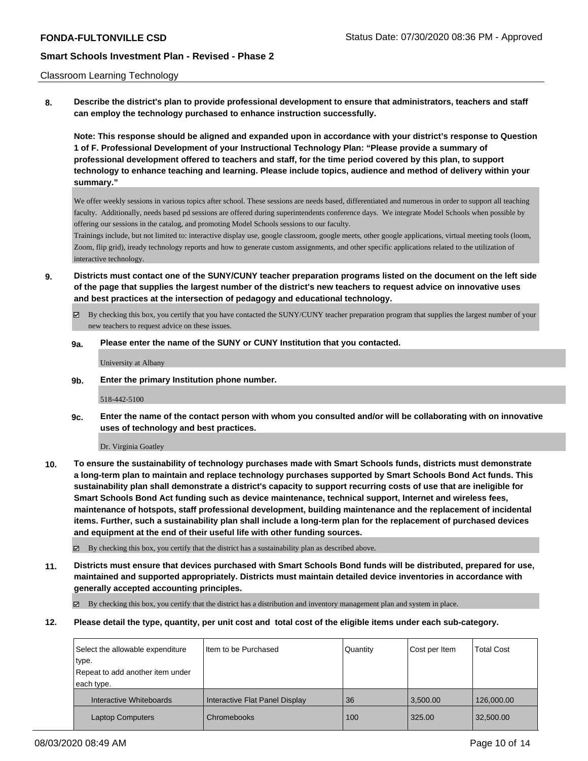### Classroom Learning Technology

**8. Describe the district's plan to provide professional development to ensure that administrators, teachers and staff can employ the technology purchased to enhance instruction successfully.**

**Note: This response should be aligned and expanded upon in accordance with your district's response to Question 1 of F. Professional Development of your Instructional Technology Plan: "Please provide a summary of professional development offered to teachers and staff, for the time period covered by this plan, to support technology to enhance teaching and learning. Please include topics, audience and method of delivery within your summary."**

We offer weekly sessions in various topics after school. These sessions are needs based, differentiated and numerous in order to support all teaching faculty. Additionally, needs based pd sessions are offered during superintendents conference days. We integrate Model Schools when possible by offering our sessions in the catalog, and promoting Model Schools sessions to our faculty.

Trainings include, but not limited to: interactive display use, google classroom, google meets, other google applications, virtual meeting tools (loom, Zoom, flip grid), iready technology reports and how to generate custom assignments, and other specific applications related to the utilization of interactive technology.

- **9. Districts must contact one of the SUNY/CUNY teacher preparation programs listed on the document on the left side of the page that supplies the largest number of the district's new teachers to request advice on innovative uses and best practices at the intersection of pedagogy and educational technology.**
	- $\boxtimes$  By checking this box, you certify that you have contacted the SUNY/CUNY teacher preparation program that supplies the largest number of your new teachers to request advice on these issues.

#### **9a. Please enter the name of the SUNY or CUNY Institution that you contacted.**

University at Albany

**9b. Enter the primary Institution phone number.**

518-442-5100

**9c. Enter the name of the contact person with whom you consulted and/or will be collaborating with on innovative uses of technology and best practices.**

Dr. Virginia Goatley

**10. To ensure the sustainability of technology purchases made with Smart Schools funds, districts must demonstrate a long-term plan to maintain and replace technology purchases supported by Smart Schools Bond Act funds. This sustainability plan shall demonstrate a district's capacity to support recurring costs of use that are ineligible for Smart Schools Bond Act funding such as device maintenance, technical support, Internet and wireless fees, maintenance of hotspots, staff professional development, building maintenance and the replacement of incidental items. Further, such a sustainability plan shall include a long-term plan for the replacement of purchased devices and equipment at the end of their useful life with other funding sources.**

By checking this box, you certify that the district has a sustainability plan as described above.

**11. Districts must ensure that devices purchased with Smart Schools Bond funds will be distributed, prepared for use, maintained and supported appropriately. Districts must maintain detailed device inventories in accordance with generally accepted accounting principles.**

 $\boxtimes$  By checking this box, you certify that the district has a distribution and inventory management plan and system in place.

**12. Please detail the type, quantity, per unit cost and total cost of the eligible items under each sub-category.**

| Select the allowable expenditure | I Item to be Purchased         | Quantity | Cost per Item | <b>Total Cost</b> |
|----------------------------------|--------------------------------|----------|---------------|-------------------|
| type.                            |                                |          |               |                   |
| Repeat to add another item under |                                |          |               |                   |
| each type.                       |                                |          |               |                   |
| Interactive Whiteboards          | Interactive Flat Panel Display | 36       | 3,500.00      | 126,000.00        |
| <b>Laptop Computers</b>          | Chromebooks                    | 100      | 325.00        | 32,500.00         |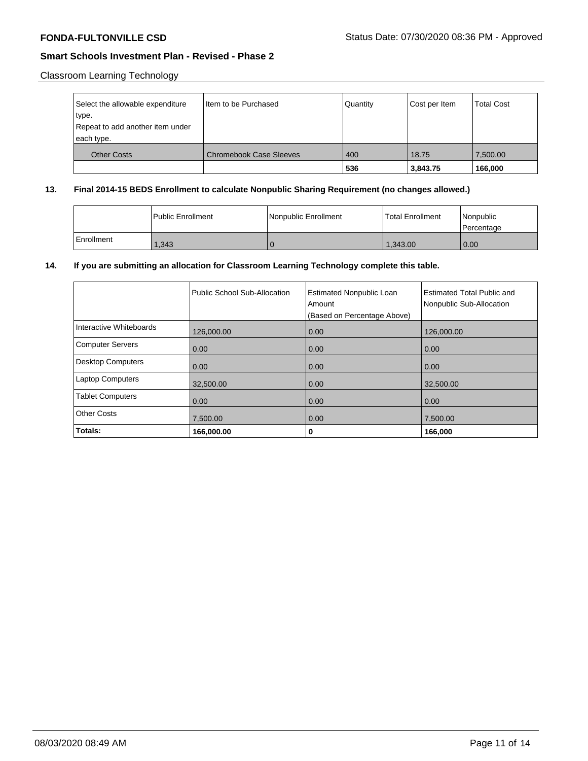# Classroom Learning Technology

| Select the allowable expenditure<br>type.<br>Repeat to add another item under<br>each type. | Item to be Purchased           | Quantity | Cost per Item | <b>Total Cost</b> |
|---------------------------------------------------------------------------------------------|--------------------------------|----------|---------------|-------------------|
| <b>Other Costs</b>                                                                          | <b>Chromebook Case Sleeves</b> | 400      | 18.75         | 7,500.00          |
|                                                                                             |                                | 536      | 3,843.75      | 166,000           |

# **13. Final 2014-15 BEDS Enrollment to calculate Nonpublic Sharing Requirement (no changes allowed.)**

|            | <b>Public Enrollment</b> | Nonpublic Enrollment | <b>Total Enrollment</b> | Nonpublic<br>l Percentage |
|------------|--------------------------|----------------------|-------------------------|---------------------------|
| Enrollment | 1.343                    |                      | 1.343.00                | 0.00                      |

# **14. If you are submitting an allocation for Classroom Learning Technology complete this table.**

|                          | Public School Sub-Allocation | <b>Estimated Nonpublic Loan</b><br>Amount<br>(Based on Percentage Above) | <b>Estimated Total Public and</b><br>Nonpublic Sub-Allocation |
|--------------------------|------------------------------|--------------------------------------------------------------------------|---------------------------------------------------------------|
| Interactive Whiteboards  | 126,000.00                   | 0.00                                                                     | 126,000.00                                                    |
| <b>Computer Servers</b>  | 0.00                         | 0.00                                                                     | 0.00                                                          |
| <b>Desktop Computers</b> | 0.00                         | 0.00                                                                     | 0.00                                                          |
| <b>Laptop Computers</b>  | 32,500.00                    | 0.00                                                                     | 32,500.00                                                     |
| <b>Tablet Computers</b>  | 0.00                         | 0.00                                                                     | 0.00                                                          |
| <b>Other Costs</b>       | 7,500.00                     | 0.00                                                                     | 7,500.00                                                      |
| Totals:                  | 166,000.00                   | 0                                                                        | 166,000                                                       |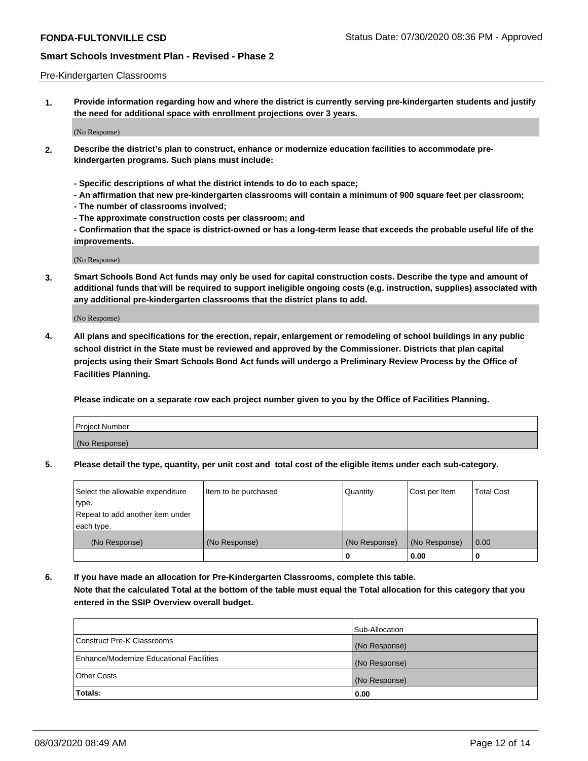### Pre-Kindergarten Classrooms

**1. Provide information regarding how and where the district is currently serving pre-kindergarten students and justify the need for additional space with enrollment projections over 3 years.**

(No Response)

- **2. Describe the district's plan to construct, enhance or modernize education facilities to accommodate prekindergarten programs. Such plans must include:**
	- **Specific descriptions of what the district intends to do to each space;**
	- **An affirmation that new pre-kindergarten classrooms will contain a minimum of 900 square feet per classroom;**
	- **The number of classrooms involved;**
	- **The approximate construction costs per classroom; and**
	- **Confirmation that the space is district-owned or has a long-term lease that exceeds the probable useful life of the improvements.**

(No Response)

**3. Smart Schools Bond Act funds may only be used for capital construction costs. Describe the type and amount of additional funds that will be required to support ineligible ongoing costs (e.g. instruction, supplies) associated with any additional pre-kindergarten classrooms that the district plans to add.**

(No Response)

**4. All plans and specifications for the erection, repair, enlargement or remodeling of school buildings in any public school district in the State must be reviewed and approved by the Commissioner. Districts that plan capital projects using their Smart Schools Bond Act funds will undergo a Preliminary Review Process by the Office of Facilities Planning.**

**Please indicate on a separate row each project number given to you by the Office of Facilities Planning.**

| Project Number |  |
|----------------|--|
| (No Response)  |  |
|                |  |

**5. Please detail the type, quantity, per unit cost and total cost of the eligible items under each sub-category.**

| Select the allowable expenditure | Item to be purchased | Quantity      | Cost per Item | <b>Total Cost</b> |
|----------------------------------|----------------------|---------------|---------------|-------------------|
| type.                            |                      |               |               |                   |
| Repeat to add another item under |                      |               |               |                   |
| each type.                       |                      |               |               |                   |
| (No Response)                    | (No Response)        | (No Response) | (No Response) | 0.00              |
|                                  |                      | U             | 0.00          |                   |

**6. If you have made an allocation for Pre-Kindergarten Classrooms, complete this table. Note that the calculated Total at the bottom of the table must equal the Total allocation for this category that you entered in the SSIP Overview overall budget.**

|                                          | Sub-Allocation |
|------------------------------------------|----------------|
| Construct Pre-K Classrooms               | (No Response)  |
| Enhance/Modernize Educational Facilities | (No Response)  |
| <b>Other Costs</b>                       | (No Response)  |
| Totals:                                  | 0.00           |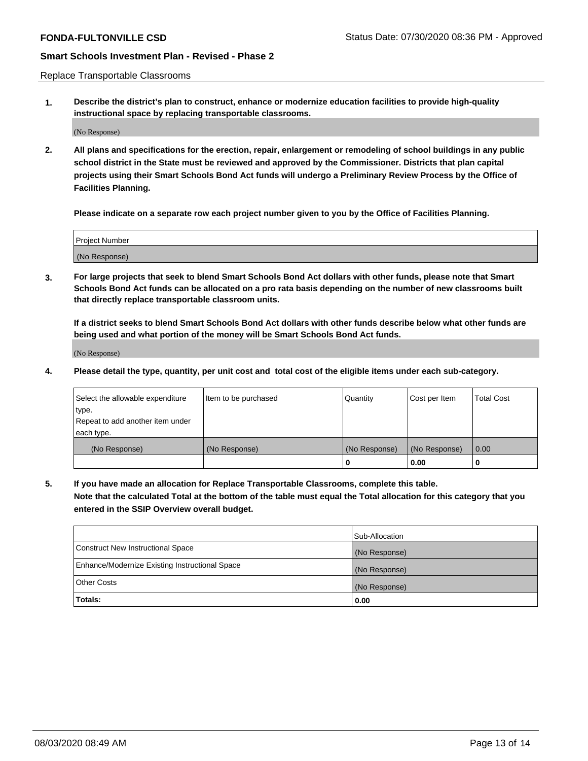Replace Transportable Classrooms

**1. Describe the district's plan to construct, enhance or modernize education facilities to provide high-quality instructional space by replacing transportable classrooms.**

(No Response)

**2. All plans and specifications for the erection, repair, enlargement or remodeling of school buildings in any public school district in the State must be reviewed and approved by the Commissioner. Districts that plan capital projects using their Smart Schools Bond Act funds will undergo a Preliminary Review Process by the Office of Facilities Planning.**

**Please indicate on a separate row each project number given to you by the Office of Facilities Planning.**

| Project Number |  |
|----------------|--|
|                |  |
|                |  |
|                |  |
| (No Response)  |  |
|                |  |
|                |  |

**3. For large projects that seek to blend Smart Schools Bond Act dollars with other funds, please note that Smart Schools Bond Act funds can be allocated on a pro rata basis depending on the number of new classrooms built that directly replace transportable classroom units.**

**If a district seeks to blend Smart Schools Bond Act dollars with other funds describe below what other funds are being used and what portion of the money will be Smart Schools Bond Act funds.**

(No Response)

**4. Please detail the type, quantity, per unit cost and total cost of the eligible items under each sub-category.**

| Select the allowable expenditure           | Item to be purchased | Quantity      | Cost per Item | <b>Total Cost</b> |
|--------------------------------------------|----------------------|---------------|---------------|-------------------|
| ∣type.<br>Repeat to add another item under |                      |               |               |                   |
| each type.                                 |                      |               |               |                   |
| (No Response)                              | (No Response)        | (No Response) | (No Response) | 0.00              |
|                                            |                      | 0             | 0.00          |                   |

**5. If you have made an allocation for Replace Transportable Classrooms, complete this table. Note that the calculated Total at the bottom of the table must equal the Total allocation for this category that you entered in the SSIP Overview overall budget.**

|                                                | Sub-Allocation |
|------------------------------------------------|----------------|
| Construct New Instructional Space              | (No Response)  |
| Enhance/Modernize Existing Instructional Space | (No Response)  |
| Other Costs                                    | (No Response)  |
| Totals:                                        | 0.00           |